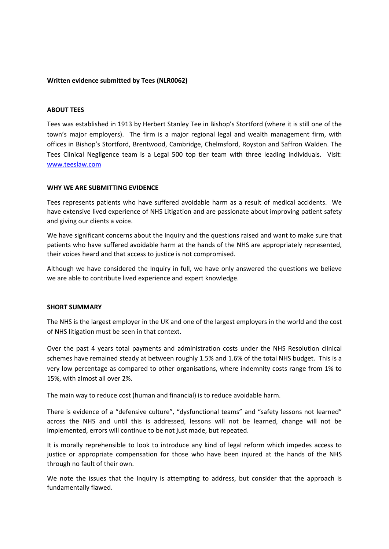### **Written evidence submitted by Tees (NLR0062)**

### **ABOUT TEES**

Tees was established in 1913 by Herbert Stanley Tee in Bishop's Stortford (where it is still one of the town's major employers). The firm is a major regional legal and wealth management firm, with offices in Bishop's Stortford, Brentwood, Cambridge, Chelmsford, Royston and Saffron Walden. The Tees Clinical Negligence team is a Legal 500 top tier team with three leading individuals. Visit: [www.teeslaw.com](http://www.teeslaw.com/)

### **WHY WE ARE SUBMITTING EVIDENCE**

Tees represents patients who have suffered avoidable harm as a result of medical accidents. We have extensive lived experience of NHS Litigation and are passionate about improving patient safety and giving our clients a voice.

We have significant concerns about the Inquiry and the questions raised and want to make sure that patients who have suffered avoidable harm at the hands of the NHS are appropriately represented, their voices heard and that access to justice is not compromised.

Although we have considered the Inquiry in full, we have only answered the questions we believe we are able to contribute lived experience and expert knowledge.

### **SHORT SUMMARY**

The NHS is the largest employer in the UK and one of the largest employers in the world and the cost of NHS litigation must be seen in that context.

Over the past 4 years total payments and administration costs under the NHS Resolution clinical schemes have remained steady at between roughly 1.5% and 1.6% of the total NHS budget. This is a very low percentage as compared to other organisations, where indemnity costs range from 1% to 15%, with almost all over 2%.

The main way to reduce cost (human and financial) is to reduce avoidable harm.

There is evidence of a "defensive culture", "dysfunctional teams" and "safety lessons not learned" across the NHS and until this is addressed, lessons will not be learned, change will not be implemented, errors will continue to be not just made, but repeated.

It is morally reprehensible to look to introduce any kind of legal reform which impedes access to justice or appropriate compensation for those who have been injured at the hands of the NHS through no fault of their own.

We note the issues that the Inquiry is attempting to address, but consider that the approach is fundamentally flawed.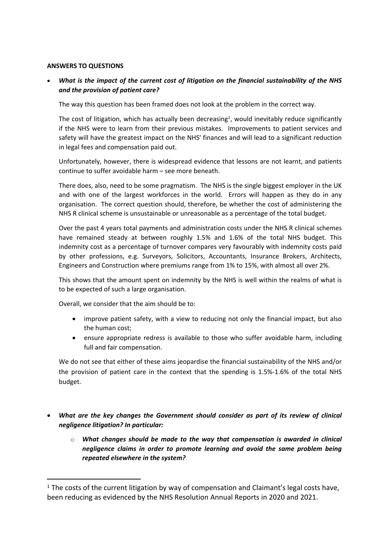## **ANSWERS TO QUESTIONS**

 *What is the impact of the current cost of litigation on the financial sustainability of the NHS and the provision of patient care?*

The way this question has been framed does not look at the problem in the correct way.

The cost of litigation, which has actually been decreasing<sup>1</sup>, would inevitably reduce significantly if the NHS were to learn from their previous mistakes. Improvements to patient services and safety will have the greatest impact on the NHS' finances and will lead to a significant reduction in legal fees and compensation paid out.

Unfortunately, however, there is widespread evidence that lessons are not learnt, and patients continue to suffer avoidable harm – see more beneath.

There does, also, need to be some pragmatism. The NHS is the single biggest employer in the UK and with one of the largest workforces in the world. Errors will happen as they do in any organisation. The correct question should, therefore, be whether the cost of administering the NHS R clinical scheme is unsustainable or unreasonable as a percentage of the total budget.

Over the past 4 years total payments and administration costs under the NHS R clinical schemes have remained steady at between roughly 1.5% and 1.6% of the total NHS budget. This indemnity cost as a percentage of turnover compares very favourably with indemnity costs paid by other professions, e.g. Surveyors, Solicitors, Accountants, Insurance Brokers, Architects, Engineers and Construction where premiums range from 1% to 15%, with almost all over 2%.

This shows that the amount spent on indemnity by the NHS is well within the realms of what is to be expected of such a large organisation.

Overall, we consider that the aim should be to:

- improve patient safety, with a view to reducing not only the financial impact, but also the human cost;
- ensure appropriate redress is available to those who suffer avoidable harm, including full and fair compensation.

We do not see that either of these aims jeopardise the financial sustainability of the NHS and/or the provision of patient care in the context that the spending is 1.5%-1.6% of the total NHS budget.

- *What are the key changes the Government should consider as part of its review of clinical negligence litigation? In particular:*
	- o *What changes should be made to the way that compensation is awarded in clinical negligence claims in order to promote learning and avoid the same problem being repeated elsewhere in the system?*

<sup>&</sup>lt;sup>1</sup> The costs of the current litigation by way of compensation and Claimant's legal costs have, been reducing as evidenced by the NHS Resolution Annual Reports in 2020 and 2021.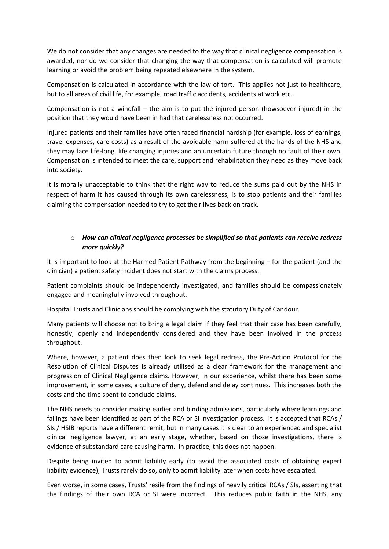We do not consider that any changes are needed to the way that clinical negligence compensation is awarded, nor do we consider that changing the way that compensation is calculated will promote learning or avoid the problem being repeated elsewhere in the system.

Compensation is calculated in accordance with the law of tort. This applies not just to healthcare, but to all areas of civil life, for example, road traffic accidents, accidents at work etc..

Compensation is not a windfall – the aim is to put the injured person (howsoever injured) in the position that they would have been in had that carelessness not occurred.

Injured patients and their families have often faced financial hardship (for example, loss of earnings, travel expenses, care costs) as a result of the avoidable harm suffered at the hands of the NHS and they may face life-long, life changing injuries and an uncertain future through no fault of their own. Compensation is intended to meet the care, support and rehabilitation they need as they move back into society.

It is morally unacceptable to think that the right way to reduce the sums paid out by the NHS in respect of harm it has caused through its own carelessness, is to stop patients and their families claiming the compensation needed to try to get their lives back on track.

# o *How can clinical negligence processes be simplified so that patients can receive redress more quickly?*

It is important to look at the Harmed Patient Pathway from the beginning – for the patient (and the clinician) a patient safety incident does not start with the claims process.

Patient complaints should be independently investigated, and families should be compassionately engaged and meaningfully involved throughout.

Hospital Trusts and Clinicians should be complying with the statutory Duty of Candour.

Many patients will choose not to bring a legal claim if they feel that their case has been carefully, honestly, openly and independently considered and they have been involved in the process throughout.

Where, however, a patient does then look to seek legal redress, the Pre-Action Protocol for the Resolution of Clinical Disputes is already utilised as a clear framework for the management and progression of Clinical Negligence claims. However, in our experience, whilst there has been some improvement, in some cases, a culture of deny, defend and delay continues. This increases both the costs and the time spent to conclude claims.

The NHS needs to consider making earlier and binding admissions, particularly where learnings and failings have been identified as part of the RCA or SI investigation process. It is accepted that RCAs / SIs / HSIB reports have a different remit, but in many cases it is clear to an experienced and specialist clinical negligence lawyer, at an early stage, whether, based on those investigations, there is evidence of substandard care causing harm. In practice, this does not happen.

Despite being invited to admit liability early (to avoid the associated costs of obtaining expert liability evidence), Trusts rarely do so, only to admit liability later when costs have escalated.

Even worse, in some cases, Trusts' resile from the findings of heavily critical RCAs / SIs, asserting that the findings of their own RCA or SI were incorrect. This reduces public faith in the NHS, any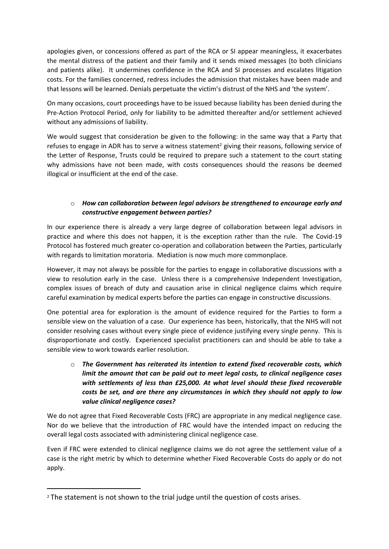apologies given, or concessions offered as part of the RCA or SI appear meaningless, it exacerbates the mental distress of the patient and their family and it sends mixed messages (to both clinicians and patients alike). It undermines confidence in the RCA and SI processes and escalates litigation costs. For the families concerned, redress includes the admission that mistakes have been made and that lessons will be learned. Denials perpetuate the victim's distrust of the NHS and 'the system'.

On many occasions, court proceedings have to be issued because liability has been denied during the Pre-Action Protocol Period, only for liability to be admitted thereafter and/or settlement achieved without any admissions of liability.

We would suggest that consideration be given to the following: in the same way that a Party that refuses to engage in ADR has to serve a witness statement<sup>2</sup> giving their reasons, following service of the Letter of Response, Trusts could be required to prepare such a statement to the court stating why admissions have not been made, with costs consequences should the reasons be deemed illogical or insufficient at the end of the case.

## o *How can collaboration between legal advisors be strengthened to encourage early and constructive engagement between parties?*

In our experience there is already a very large degree of collaboration between legal advisors in practice and where this does not happen, it is the exception rather than the rule. The Covid-19 Protocol has fostered much greater co-operation and collaboration between the Parties, particularly with regards to limitation moratoria. Mediation is now much more commonplace.

However, it may not always be possible for the parties to engage in collaborative discussions with a view to resolution early in the case. Unless there is a comprehensive Independent Investigation, complex issues of breach of duty and causation arise in clinical negligence claims which require careful examination by medical experts before the parties can engage in constructive discussions.

One potential area for exploration is the amount of evidence required for the Parties to form a sensible view on the valuation of a case. Our experience has been, historically, that the NHS will not consider resolving cases without every single piece of evidence justifying every single penny. This is disproportionate and costly. Experienced specialist practitioners can and should be able to take a sensible view to work towards earlier resolution.

o *The Government has reiterated its intention to extend fixed recoverable costs, which limit the amount that can be paid out to meet legal costs, to clinical negligence cases with settlements of less than £25,000. At what level should these fixed recoverable costs be set, and are there any circumstances in which they should not apply to low value clinical negligence cases?*

We do not agree that Fixed Recoverable Costs (FRC) are appropriate in any medical negligence case. Nor do we believe that the introduction of FRC would have the intended impact on reducing the overall legal costs associated with administering clinical negligence case.

Even if FRC were extended to clinical negligence claims we do not agree the settlement value of a case is the right metric by which to determine whether Fixed Recoverable Costs do apply or do not apply.

<sup>&</sup>lt;sup>2</sup> The statement is not shown to the trial judge until the question of costs arises.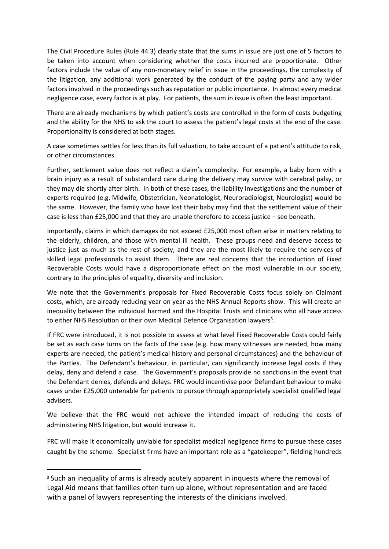The Civil Procedure Rules (Rule 44.3) clearly state that the sums in issue are just one of 5 factors to be taken into account when considering whether the costs incurred are proportionate. Other factors include the value of any non-monetary relief in issue in the proceedings, the complexity of the litigation, any additional work generated by the conduct of the paying party and any wider factors involved in the proceedings such as reputation or public importance. In almost every medical negligence case, every factor is at play. For patients, the sum in issue is often the least important.

There are already mechanisms by which patient's costs are controlled in the form of costs budgeting and the ability for the NHS to ask the court to assess the patient's legal costs at the end of the case. Proportionality is considered at both stages.

A case sometimes settles for less than its full valuation, to take account of a patient's attitude to risk, or other circumstances.

Further, settlement value does not reflect a claim's complexity. For example, a baby born with a brain injury as a result of substandard care during the delivery may survive with cerebral palsy, or they may die shortly after birth. In both of these cases, the liability investigations and the number of experts required (e.g. Midwife, Obstetrician, Neonatologist, Neuroradiologist, Neurologist) would be the same. However, the family who have lost their baby may find that the settlement value of their case is less than £25,000 and that they are unable therefore to access justice – see beneath.

Importantly, claims in which damages do not exceed £25,000 most often arise in matters relating to the elderly, children, and those with mental ill health. These groups need and deserve access to justice just as much as the rest of society, and they are the most likely to require the services of skilled legal professionals to assist them. There are real concerns that the introduction of Fixed Recoverable Costs would have a disproportionate effect on the most vulnerable in our society, contrary to the principles of equality, diversity and inclusion.

We note that the Government's proposals for Fixed Recoverable Costs focus solely on Claimant costs, which, are already reducing year on year as the NHS Annual Reports show. This will create an inequality between the individual harmed and the Hospital Trusts and clinicians who all have access to either NHS Resolution or their own Medical Defence Organisation lawyers<sup>3</sup>.

If FRC were introduced, it is not possible to assess at what level Fixed Recoverable Costs could fairly be set as each case turns on the facts of the case (e.g. how many witnesses are needed, how many experts are needed, the patient's medical history and personal circumstances) and the behaviour of the Parties. The Defendant's behaviour, in particular, can significantly increase legal costs if they delay, deny and defend a case. The Government's proposals provide no sanctions in the event that the Defendant denies, defends and delays. FRC would incentivise poor Defendant behaviour to make cases under £25,000 untenable for patients to pursue through appropriately specialist qualified legal advisers.

We believe that the FRC would not achieve the intended impact of reducing the costs of administering NHS litigation, but would increase it.

FRC will make it economically unviable for specialist medical negligence firms to pursue these cases caught by the scheme. Specialist firms have an important role as a "gatekeeper", fielding hundreds

<sup>&</sup>lt;sup>3</sup> Such an inequality of arms is already acutely apparent in inquests where the removal of Legal Aid means that families often turn up alone, without representation and are faced with a panel of lawyers representing the interests of the clinicians involved.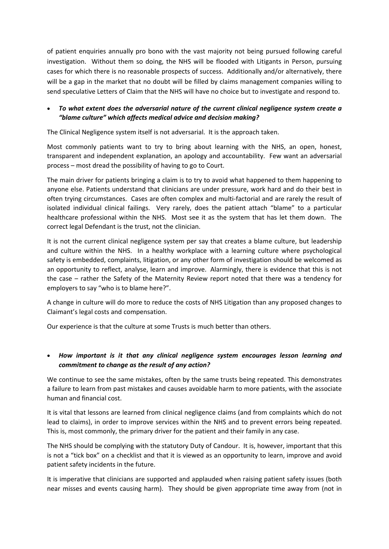of patient enquiries annually pro bono with the vast majority not being pursued following careful investigation. Without them so doing, the NHS will be flooded with Litigants in Person, pursuing cases for which there is no reasonable prospects of success. Additionally and/or alternatively, there will be a gap in the market that no doubt will be filled by claims management companies willing to send speculative Letters of Claim that the NHS will have no choice but to investigate and respond to.

## *To what extent does the adversarial nature of the current clinical negligence system create a "blame culture" which affects medical advice and decision making?*

The Clinical Negligence system itself is not adversarial. It is the approach taken.

Most commonly patients want to try to bring about learning with the NHS, an open, honest, transparent and independent explanation, an apology and accountability. Few want an adversarial process – most dread the possibility of having to go to Court.

The main driver for patients bringing a claim is to try to avoid what happened to them happening to anyone else. Patients understand that clinicians are under pressure, work hard and do their best in often trying circumstances. Cases are often complex and multi-factorial and are rarely the result of isolated individual clinical failings. Very rarely, does the patient attach "blame" to a particular healthcare professional within the NHS. Most see it as the system that has let them down. The correct legal Defendant is the trust, not the clinician.

It is not the current clinical negligence system per say that creates a blame culture, but leadership and culture within the NHS. In a healthy workplace with a learning culture where psychological safety is embedded, complaints, litigation, or any other form of investigation should be welcomed as an opportunity to reflect, analyse, learn and improve. Alarmingly, there is evidence that this is not the case – rather the Safety of the Maternity Review report noted that there was a tendency for employers to say "who is to blame here?".

A change in culture will do more to reduce the costs of NHS Litigation than any proposed changes to Claimant's legal costs and compensation.

Our experience is that the culture at some Trusts is much better than others.

## *How important is it that any clinical negligence system encourages lesson learning and commitment to change as the result of any action?*

We continue to see the same mistakes, often by the same trusts being repeated. This demonstrates a failure to learn from past mistakes and causes avoidable harm to more patients, with the associate human and financial cost.

It is vital that lessons are learned from clinical negligence claims (and from complaints which do not lead to claims), in order to improve services within the NHS and to prevent errors being repeated. This is, most commonly, the primary driver for the patient and their family in any case.

The NHS should be complying with the statutory Duty of Candour. It is, however, important that this is not a "tick box" on a checklist and that it is viewed as an opportunity to learn, improve and avoid patient safety incidents in the future.

It is imperative that clinicians are supported and applauded when raising patient safety issues (both near misses and events causing harm). They should be given appropriate time away from (not in